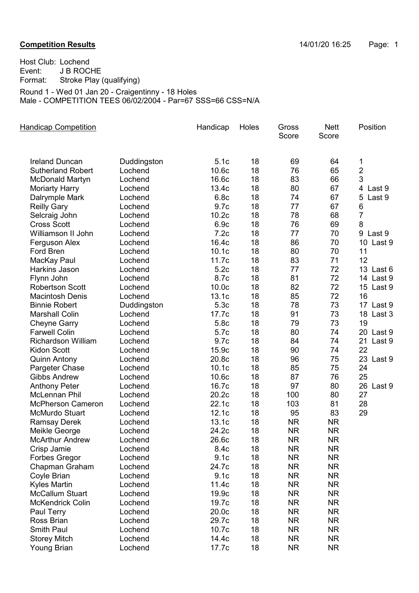## **Competition Results Competition Results 14/01/20 16:25** Page: 1

Host Club: Lochend Event: J B ROCHE Format: Stroke Play (qualifying) Round 1 - Wed 01 Jan 20 - Craigentinny - 18 Holes Male - COMPETITION TEES 06/02/2004 - Par=67 SSS=66 CSS=N/A

| <b>Handicap Competition</b> |             | Handicap          | Holes | Gross<br>Score | <b>Nett</b><br>Score | Position       |
|-----------------------------|-------------|-------------------|-------|----------------|----------------------|----------------|
| <b>Ireland Duncan</b>       | Duddingston | 5.1c              | 18    | 69             | 64                   | 1              |
| <b>Sutherland Robert</b>    | Lochend     | 10.6c             | 18    | 76             | 65                   | $\overline{2}$ |
| <b>McDonald Martyn</b>      | Lochend     | 16.6c             | 18    | 83             | 66                   | 3              |
| <b>Moriarty Harry</b>       | Lochend     | 13.4c             | 18    | 80             | 67                   | 4 Last 9       |
| Dalrymple Mark              | Lochend     | 6.8c              | 18    | 74             | 67                   | 5<br>Last 9    |
| <b>Reilly Gary</b>          | Lochend     | 9.7c              | 18    | 77             | 67                   | 6              |
| Selcraig John               | Lochend     | 10.2c             | 18    | 78             | 68                   | $\overline{7}$ |
| <b>Cross Scott</b>          | Lochend     | 6.9c              | 18    | 76             | 69                   | 8              |
| Williamson II John          | Lochend     | 7.2c              | 18    | 77             | 70                   | 9 Last 9       |
| Ferguson Alex               | Lochend     | 16.4c             | 18    | 86             | 70                   | 10 Last 9      |
| Ford Bren                   | Lochend     | 10.1c             | 18    | 80             | 70                   | 11             |
| MacKay Paul                 | Lochend     | 11.7c             | 18    | 83             | 71                   | 12             |
| Harkins Jason               | Lochend     | 5.2c              | 18    | 77             | 72                   | 13 Last 6      |
| Flynn John                  | Lochend     | 8.7c              | 18    | 81             | 72                   | 14 Last 9      |
| <b>Robertson Scott</b>      | Lochend     | 10.0 <sub>c</sub> | 18    | 82             | 72                   | 15 Last 9      |
| <b>Macintosh Denis</b>      | Lochend     | 13.1c             | 18    | 85             | 72                   | 16             |
| <b>Binnie Robert</b>        | Duddingston | 5.3c              | 18    | 78             | 73                   | 17 Last 9      |
| <b>Marshall Colin</b>       | Lochend     | 17.7c             | 18    | 91             | 73                   | 18 Last 3      |
| <b>Cheyne Garry</b>         | Lochend     | 5.8c              | 18    | 79             | 73                   | 19             |
| <b>Farwell Colin</b>        | Lochend     | 5.7c              | 18    | 80             | 74                   | 20 Last 9      |
| <b>Richardson William</b>   | Lochend     | 9.7c              | 18    | 84             | 74                   | 21 Last 9      |
| <b>Kidon Scott</b>          | Lochend     | 15.9c             | 18    | 90             | 74                   | 22             |
| <b>Quinn Antony</b>         | Lochend     | 20.8c             | 18    | 96             | 75                   | 23 Last 9      |
| Pargeter Chase              | Lochend     | 10.1 <sub>c</sub> | 18    | 85             | 75                   | 24             |
| <b>Gibbs Andrew</b>         | Lochend     | 10.6c             | 18    | 87             | 76                   | 25             |
| <b>Anthony Peter</b>        | Lochend     | 16.7c             | 18    | 97             | 80                   | 26 Last 9      |
| McLennan Phil               | Lochend     | 20.2c             | 18    | 100            | 80                   | 27             |
| <b>McPherson Cameron</b>    | Lochend     | 22.1c             | 18    | 103            | 81                   | 28             |
| <b>McMurdo Stuart</b>       | Lochend     | 12.1c             | 18    | 95             | 83                   | 29             |
| <b>Ramsay Derek</b>         | Lochend     | 13.1c             | 18    | <b>NR</b>      | NR.                  |                |
| Meikle George               | Lochend     | 24.2c             | 18    | <b>NR</b>      | <b>NR</b>            |                |
| <b>McArthur Andrew</b>      | Lochend     | 26.6c             | 18    | <b>NR</b>      | <b>NR</b>            |                |
| Crisp Jamie                 | Lochend     | 8.4c              | 18    | <b>NR</b>      | NR.                  |                |
| Forbes Gregor               | Lochend     | 9.1c              | 18    | <b>NR</b>      | <b>NR</b>            |                |
| Chapman Graham              | Lochend     | 24.7c             | 18    | <b>NR</b>      | <b>NR</b>            |                |
| Coyle Brian                 | Lochend     | 9.1 <sub>c</sub>  | 18    | <b>NR</b>      | <b>NR</b>            |                |
| <b>Kyles Martin</b>         | Lochend     | 11.4c             | 18    | <b>NR</b>      | <b>NR</b>            |                |
| <b>McCallum Stuart</b>      | Lochend     | 19.9c             | 18    | <b>NR</b>      | <b>NR</b>            |                |
| <b>McKendrick Colin</b>     | Lochend     | 19.7c             | 18    | <b>NR</b>      | <b>NR</b>            |                |
| Paul Terry                  | Lochend     | 20.0c             | 18    | <b>NR</b>      | <b>NR</b>            |                |
| Ross Brian                  | Lochend     | 29.7c             | 18    | <b>NR</b>      | <b>NR</b>            |                |
| <b>Smith Paul</b>           | Lochend     | 10.7c             | 18    | <b>NR</b>      | <b>NR</b>            |                |
| <b>Storey Mitch</b>         | Lochend     | 14.4c             | 18    | <b>NR</b>      | <b>NR</b>            |                |
| <b>Young Brian</b>          | Lochend     | 17.7c             | 18    | <b>NR</b>      | <b>NR</b>            |                |